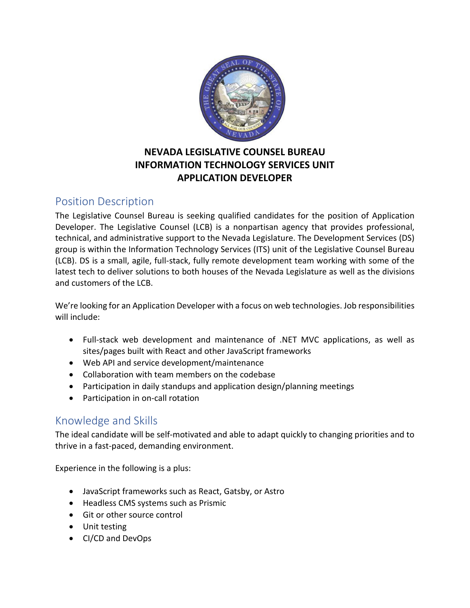

### **NEVADA LEGISLATIVE COUNSEL BUREAU INFORMATION TECHNOLOGY SERVICES UNIT APPLICATION DEVELOPER**

## Position Description

The Legislative Counsel Bureau is seeking qualified candidates for the position of Application Developer. The Legislative Counsel (LCB) is a nonpartisan agency that provides professional, technical, and administrative support to the Nevada Legislature. The Development Services (DS) group is within the Information Technology Services (ITS) unit of the Legislative Counsel Bureau (LCB). DS is a small, agile, full-stack, fully remote development team working with some of the latest tech to deliver solutions to both houses of the Nevada Legislature as well as the divisions and customers of the LCB.

We're looking for an Application Developer with a focus on web technologies. Job responsibilities will include:

- Full-stack web development and maintenance of .NET MVC applications, as well as sites/pages built with React and other JavaScript frameworks
- Web API and service development/maintenance
- Collaboration with team members on the codebase
- Participation in daily standups and application design/planning meetings
- Participation in on-call rotation

# Knowledge and Skills

The ideal candidate will be self-motivated and able to adapt quickly to changing priorities and to thrive in a fast-paced, demanding environment.

Experience in the following is a plus:

- JavaScript frameworks such as React, Gatsby, or Astro
- Headless CMS systems such as Prismic
- Git or other source control
- Unit testing
- CI/CD and DevOps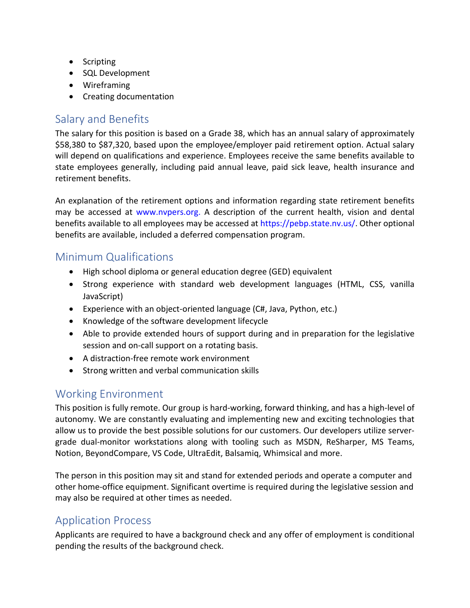- Scripting
- SQL Development
- Wireframing
- Creating documentation

## Salary and Benefits

The salary for this position is based on a Grade 38, which has an annual salary of approximately \$58,380 to \$87,320, based upon the employee/employer paid retirement option. Actual salary will depend on qualifications and experience. Employees receive the same benefits available to state employees generally, including paid annual leave, paid sick leave, health insurance and retirement benefits.

An explanation of the retirement options and information regarding state retirement benefits may be accessed at www.nvpers.org. A description of the current health, vision and dental benefits available to all employees may be accessed at https://pebp.state.nv.us/. Other optional benefits are available, included a deferred compensation program.

### Minimum Qualifications

- High school diploma or general education degree (GED) equivalent
- Strong experience with standard web development languages (HTML, CSS, vanilla JavaScript)
- Experience with an object-oriented language (C#, Java, Python, etc.)
- Knowledge of the software development lifecycle
- Able to provide extended hours of support during and in preparation for the legislative session and on-call support on a rotating basis.
- A distraction-free remote work environment
- Strong written and verbal communication skills

# Working Environment

This position is fully remote. Our group is hard-working, forward thinking, and has a high-level of autonomy. We are constantly evaluating and implementing new and exciting technologies that allow us to provide the best possible solutions for our customers. Our developers utilize servergrade dual-monitor workstations along with tooling such as MSDN, ReSharper, MS Teams, Notion, BeyondCompare, VS Code, UltraEdit, Balsamiq, Whimsical and more.

The person in this position may sit and stand for extended periods and operate a computer and other home-office equipment. Significant overtime is required during the legislative session and may also be required at other times as needed.

### Application Process

Applicants are required to have a background check and any offer of employment is conditional pending the results of the background check.